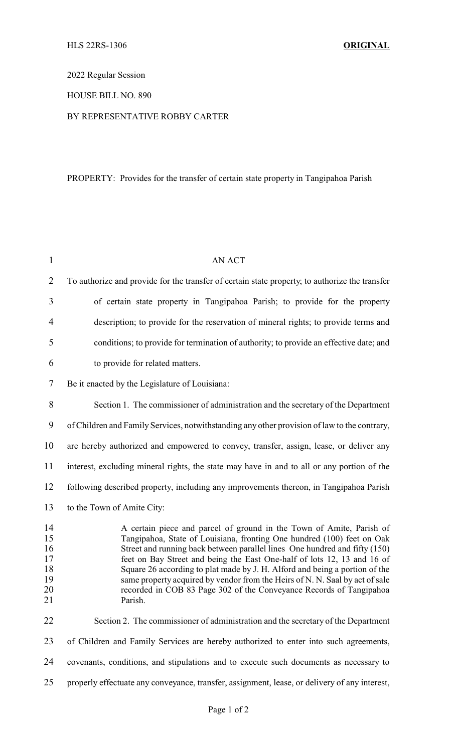2022 Regular Session

### HOUSE BILL NO. 890

### BY REPRESENTATIVE ROBBY CARTER

# PROPERTY: Provides for the transfer of certain state property in Tangipahoa Parish

| $\mathbf{1}$                                 | AN ACT                                                                                                                                                                                                                                                                                                                                                                                                                                                                                                                                                   |
|----------------------------------------------|----------------------------------------------------------------------------------------------------------------------------------------------------------------------------------------------------------------------------------------------------------------------------------------------------------------------------------------------------------------------------------------------------------------------------------------------------------------------------------------------------------------------------------------------------------|
| $\overline{2}$                               | To authorize and provide for the transfer of certain state property; to authorize the transfer                                                                                                                                                                                                                                                                                                                                                                                                                                                           |
| 3                                            | of certain state property in Tangipahoa Parish; to provide for the property                                                                                                                                                                                                                                                                                                                                                                                                                                                                              |
| $\overline{4}$                               | description; to provide for the reservation of mineral rights; to provide terms and                                                                                                                                                                                                                                                                                                                                                                                                                                                                      |
| 5                                            | conditions; to provide for termination of authority; to provide an effective date; and                                                                                                                                                                                                                                                                                                                                                                                                                                                                   |
| 6                                            | to provide for related matters.                                                                                                                                                                                                                                                                                                                                                                                                                                                                                                                          |
| 7                                            | Be it enacted by the Legislature of Louisiana:                                                                                                                                                                                                                                                                                                                                                                                                                                                                                                           |
| 8                                            | Section 1. The commissioner of administration and the secretary of the Department                                                                                                                                                                                                                                                                                                                                                                                                                                                                        |
| 9                                            | of Children and Family Services, notwithstanding any other provision of law to the contrary,                                                                                                                                                                                                                                                                                                                                                                                                                                                             |
| 10                                           | are hereby authorized and empowered to convey, transfer, assign, lease, or deliver any                                                                                                                                                                                                                                                                                                                                                                                                                                                                   |
| 11                                           | interest, excluding mineral rights, the state may have in and to all or any portion of the                                                                                                                                                                                                                                                                                                                                                                                                                                                               |
| 12                                           | following described property, including any improvements thereon, in Tangipahoa Parish                                                                                                                                                                                                                                                                                                                                                                                                                                                                   |
| 13                                           | to the Town of Amite City:                                                                                                                                                                                                                                                                                                                                                                                                                                                                                                                               |
| 14<br>15<br>16<br>17<br>18<br>19<br>20<br>21 | A certain piece and parcel of ground in the Town of Amite, Parish of<br>Tangipahoa, State of Louisiana, fronting One hundred (100) feet on Oak<br>Street and running back between parallel lines One hundred and fifty (150)<br>feet on Bay Street and being the East One-half of lots 12, 13 and 16 of<br>Square 26 according to plat made by J. H. Alford and being a portion of the<br>same property acquired by vendor from the Heirs of N. N. Saal by act of sale<br>recorded in COB 83 Page 302 of the Conveyance Records of Tangipahoa<br>Parish. |
| 22                                           | Section 2. The commissioner of administration and the secretary of the Department                                                                                                                                                                                                                                                                                                                                                                                                                                                                        |
| 23                                           | of Children and Family Services are hereby authorized to enter into such agreements,                                                                                                                                                                                                                                                                                                                                                                                                                                                                     |
| 24                                           | covenants, conditions, and stipulations and to execute such documents as necessary to                                                                                                                                                                                                                                                                                                                                                                                                                                                                    |
| 25                                           | properly effectuate any conveyance, transfer, assignment, lease, or delivery of any interest,                                                                                                                                                                                                                                                                                                                                                                                                                                                            |